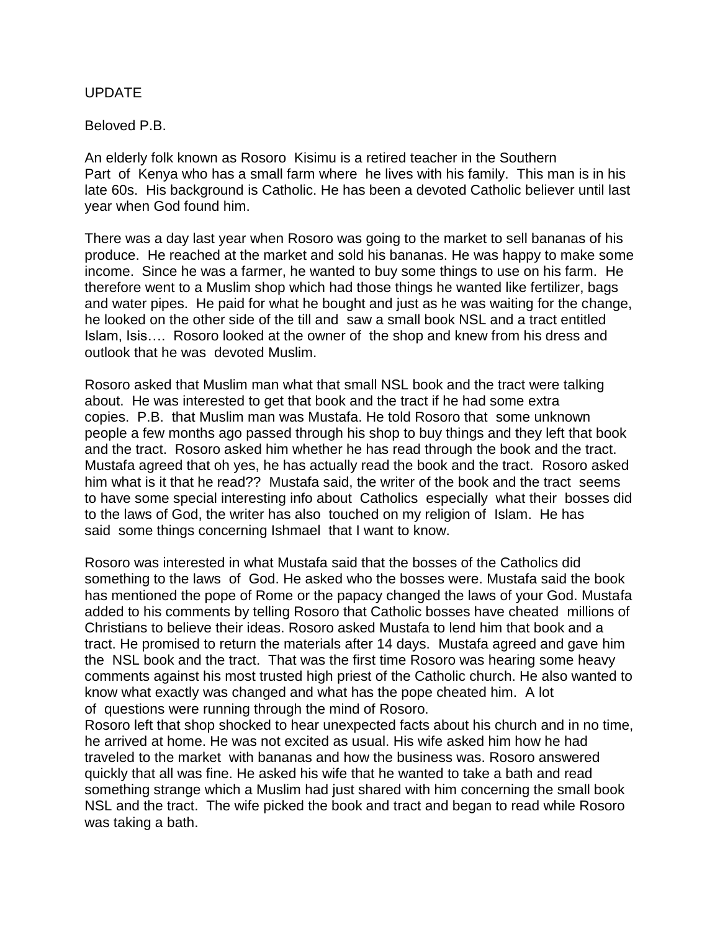## UPDATE

Beloved P.B.

An elderly folk known as Rosoro Kisimu is a retired teacher in the Southern Part of Kenya who has a small farm where he lives with his family. This man is in his late 60s. His background is Catholic. He has been a devoted Catholic believer until last year when God found him.

There was a day last year when Rosoro was going to the market to sell bananas of his produce. He reached at the market and sold his bananas. He was happy to make some income. Since he was a farmer, he wanted to buy some things to use on his farm. He therefore went to a Muslim shop which had those things he wanted like fertilizer, bags and water pipes. He paid for what he bought and just as he was waiting for the change, he looked on the other side of the till and saw a small book NSL and a tract entitled Islam, Isis…. Rosoro looked at the owner of the shop and knew from his dress and outlook that he was devoted Muslim.

Rosoro asked that Muslim man what that small NSL book and the tract were talking about. He was interested to get that book and the tract if he had some extra copies. P.B. that Muslim man was Mustafa. He told Rosoro that some unknown people a few months ago passed through his shop to buy things and they left that book and the tract. Rosoro asked him whether he has read through the book and the tract. Mustafa agreed that oh yes, he has actually read the book and the tract. Rosoro asked him what is it that he read?? Mustafa said, the writer of the book and the tract seems to have some special interesting info about Catholics especially what their bosses did to the laws of God, the writer has also touched on my religion of Islam. He has said some things concerning Ishmael that I want to know.

Rosoro was interested in what Mustafa said that the bosses of the Catholics did something to the laws of God. He asked who the bosses were. Mustafa said the book has mentioned the pope of Rome or the papacy changed the laws of your God. Mustafa added to his comments by telling Rosoro that Catholic bosses have cheated millions of Christians to believe their ideas. Rosoro asked Mustafa to lend him that book and a tract. He promised to return the materials after 14 days. Mustafa agreed and gave him the NSL book and the tract. That was the first time Rosoro was hearing some heavy comments against his most trusted high priest of the Catholic church. He also wanted to know what exactly was changed and what has the pope cheated him. A lot of questions were running through the mind of Rosoro.

Rosoro left that shop shocked to hear unexpected facts about his church and in no time, he arrived at home. He was not excited as usual. His wife asked him how he had traveled to the market with bananas and how the business was. Rosoro answered quickly that all was fine. He asked his wife that he wanted to take a bath and read something strange which a Muslim had just shared with him concerning the small book NSL and the tract. The wife picked the book and tract and began to read while Rosoro was taking a bath.